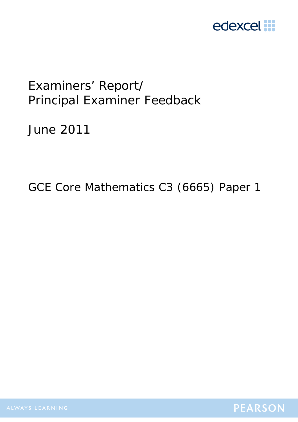

# Examiners' Report/ Principal Examiner Feedback

June 2011

GCE Core Mathematics C3 (6665) Paper 1

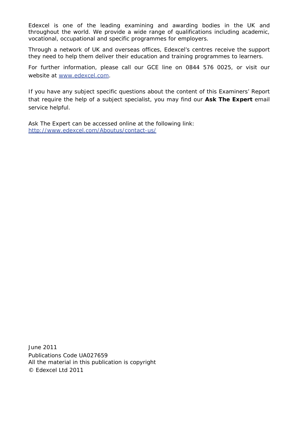Edexcel is one of the leading examining and awarding bodies in the UK and throughout the world. We provide a wide range of qualifications including academic, vocational, occupational and specific programmes for employers.

Through a network of UK and overseas offices, Edexcel's centres receive the support they need to help them deliver their education and training programmes to learners.

For further information, please call our GCE line on 0844 576 0025, or visit our website at www.edexcel.com.

If you have any subject specific questions about the content of this Examiners' Report that require the help of a subject specialist, you may find our **Ask The Expert** email service helpful.

Ask The Expert can be accessed online at the following link: http://www.edexcel.com/Aboutus/contact-us/

June 2011 Publications Code UA027659 All the material in this publication is copyright © Edexcel Ltd 2011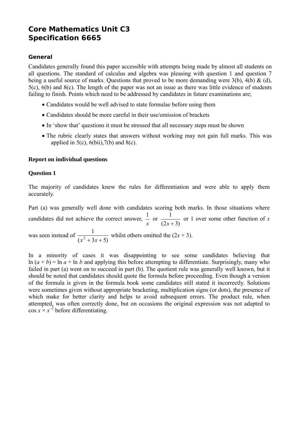## **Core Mathematics Unit C3 Specification 6665**

## **General**

Candidates generally found this paper accessible with attempts being made by almost all students on all questions. The standard of calculus and algebra was pleasing with question 1 and question 7 being a useful source of marks. Questions that proved to be more demanding were 3(b), 4(b) & (d), 5(c), 6(b) and 8(c). The length of the paper was not an issue as there was little evidence of students failing to finish. Points which need to be addressed by candidates in future examinations are;

- Candidates would be well advised to state formulae before using them
- Candidates should be more careful in their use/omission of brackets
- In 'show that' questions it must be stressed that all necessary steps must be shown
- The rubric clearly states that answers without working may not gain full marks. This was applied in  $5(c)$ ,  $6(bii)$ ,  $7(b)$  and  $8(c)$ .

#### **Report on individual questions**

#### **Question 1**

The majority of candidates knew the rules for differentiation and were able to apply them accurately.

Part (a) was generally well done with candidates scoring both marks. In those situations where candidates did not achieve the correct answer, *x*  $\frac{1}{\ }$  or  $(2x+3)$ 1 *x* + or 1 over some other function of *x*

was seen instead of  $(x^2 + 3x + 5)$ 1  $x^2 + 3x +$ whilst others omitted the  $(2x + 3)$ .

In a minority of cases it was disappointing to see some candidates believing that  $\ln (a + b) = \ln a + \ln b$  and applying this before attempting to differentiate. Surprisingly, many who failed in part (a) went on to succeed in part (b). The quotient rule was generally well known, but it should be noted that candidates should quote the formula before proceeding. Even though a version of the formula is given in the formula book some candidates still stated it incorrectly. Solutions were sometimes given without appropriate bracketing, multiplication signs (or dots), the presence of which make for better clarity and helps to avoid subsequent errors. The product rule, when attempted, was often correctly done, but on occasions the original expression was not adapted to  $\cos x \times x^{-2}$  before differentiating.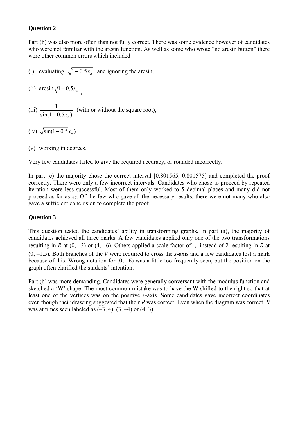## **Question 2**

Part (b) was also more often than not fully correct. There was some evidence however of candidates who were not familiar with the arcsin function. As well as some who wrote "no arcsin button" there were other common errors which included

- (i) evaluating  $\sqrt{1-0.5x_n}$  and ignoring the arcsin,
- (ii) arcsin  $\sqrt{1-0.5x_n}$
- (iii)  $\frac{1}{\sin(1 0.5x_n)}$  $-0.5x_n$ (with or without the square root),
- (iv)  $\sqrt{\sin(1 0.5 x_n)}$
- (v) working in degrees.

Very few candidates failed to give the required accuracy, or rounded incorrectly.

In part (c) the majority chose the correct interval [0.801565, 0.801575] and completed the proof correctly. There were only a few incorrect intervals. Candidates who chose to proceed by repeated iteration were less successful. Most of them only worked to 5 decimal places and many did not proceed as far as *x7*. Of the few who gave all the necessary results, there were not many who also gave a sufficient conclusion to complete the proof.

## **Question 3**

This question tested the candidates' ability in transforming graphs. In part (a), the majority of candidates achieved all three marks. A few candidates applied only one of the two transformations resulting in *R* at  $(0, -3)$  or  $(4, -6)$ . Others applied a scale factor of  $\frac{1}{2}$  instead of 2 resulting in *R* at  $(0, -1.5)$ . Both branches of the *V* were required to cross the *x*-axis and a few candidates lost a mark because of this. Wrong notation for  $(0, -6)$  was a little too frequently seen, but the position on the graph often clarified the students' intention.

Part (b) was more demanding. Candidates were generally conversant with the modulus function and sketched a 'W' shape. The most common mistake was to have the W shifted to the right so that at least one of the vertices was on the positive *x*-axis. Some candidates gave incorrect coordinates even though their drawing suggested that their *R* was correct. Even when the diagram was correct, *R* was at times seen labeled as  $(-3, 4)$ ,  $(3, -4)$  or  $(4, 3)$ .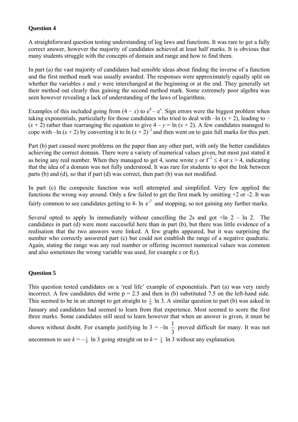## **Question 4**

A straightforward question testing understanding of log laws and functions. It was rare to get a fully correct answer, however the majority of candidates achieved at least half marks. It is obvious that many students struggle with the concepts of domain and range and how to find them.

In part (a) the vast majority of candidates had sensible ideas about finding the inverse of a function and the first method mark was usually awarded. The responses were approximately equally split on whether the variables *x* and *y* were interchanged at the beginning or at the end. They generally set their method out clearly thus gaining the second method mark. Some extremely poor algebra was seen however revealing a lack of understanding of the laws of logarithms.

Examples of this included going from  $(4 - x)$  to  $e^4 - e^x$ . Sign errors were the biggest problem when taking exponentials, particularly for those candidates who tried to deal with  $-\ln (x + 2)$ , leading to –  $(x + 2)$  rather than rearranging the equation to give  $4 - y = \ln(x + 2)$ . A few candidates managed to cope with  $-\ln(x + 2)$  by converting it to  $\ln(x + 2)^{-1}$  and then went on to gain full marks for this part.

Part (b) part caused more problems on the paper than any other part, with only the better candidates achieving the correct domain. There were a variety of numerical values given, but most just stated it as being any real number. When they managed to get 4, some wrote *v* or  $f^{-1} \leq 4$  or  $x > 4$ , indicating that the idea of a domain was not fully understood. It was rare for students to spot the link between parts (b) and (d), so that if part (d) was correct, then part (b) was not modified.

In part (c) the composite function was well attempted and simplified. Very few applied the functions the wrong way around. Only a few failed to get the first mark by omitting +2 or -2. It was fairly common to see candidates getting to 4- ln  $e^{x^2}$  and stopping, so not gaining any further marks.

Several opted to apply ln immediately without cancelling the 2s and got  $+ln 2 - ln 2$ . The candidates in part (d) were more successful here than in part (b), but there was little evidence of a realisation that the two answers were linked. A few graphs appeared, but it was surprising the number who correctly answered part (c) but could not establish the range of a negative quadratic. Again, stating the range was any real number or offering incorrect numerical values was common and also sometimes the wrong variable was used, for example  $x$  or  $f(x)$ .

## **Question 5**

This question tested candidates on a 'real life' example of exponentials. Part (a) was very rarely incorrect. A few candidates did write  $p = 2.5$  and then in (b) substituted 7.5 on the left-hand side. This seemed to be in an attempt to get straight to  $\frac{1}{4}$  ln 3. A similar question to part (b) was asked in January and candidates had seemed to learn from that experience. Most seemed to score the first three marks. Some candidates still need to learn however that when an answer is given, it must be shown without doubt. For example justifying  $\ln 3 = -\ln \frac{1}{3}$  proved difficult for many. It was not uncommon to see  $k = -\frac{1}{4}$  ln 3 going straight on to  $k = \frac{1}{4}$  ln 3 without any explanation.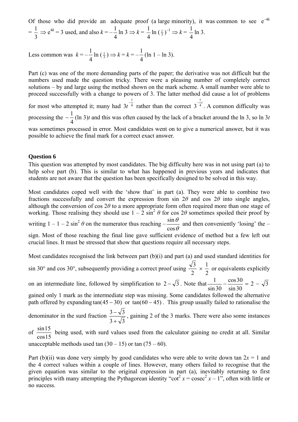Of those who did provide an adequate proof (a large minority), it was common to see  $e^{-4k}$ = 3  $\frac{1}{2} \Rightarrow e^{4k} = 3$  used, and also  $k = -$ 4  $\frac{1}{4}$ ln 3  $\Rightarrow k =$  $\frac{1}{4} \ln (\frac{1}{3})^{-1} \Rightarrow k =$ 4  $\frac{1}{1}$  ln 3.

Less common was  $k = \frac{1}{4}$  ln  $\left(\frac{1}{3}\right) \Rightarrow k = k = -$ 4  $\frac{1}{1}$ (ln 1 – ln 3).

Part (c) was one of the more demanding parts of the paper; the derivative was not difficult but the numbers used made the question tricky. There were a pleasing number of completely correct solutions – by and large using the method shown on the mark scheme. A small number were able to proceed successfully with a change to powers of 3. The latter method did cause a lot of problems for most who attempted it; many had  $3t<sup>4</sup>$  $3t^{-\frac{1}{4}}$  rather than the correct  $3^{-\frac{1}{4}}$ 1  $3^{-\frac{1}{4}}$ . A common difficulty was processing the  $-\frac{1}{4}$  (ln 3)*t* and this was often caused by the lack of a bracket around the ln 3, so ln 3*t* was sometimes processed in error. Most candidates went on to give a numerical answer, but it was possible to achieve the final mark for a correct exact answer.

#### **Question 6**

This question was attempted by most candidates. The big difficulty here was in not using part (a) to help solve part (b). This is similar to what has happened in previous years and indicates that students are not aware that the question has been specifically designed to be solved in this way.

Most candidates coped well with the 'show that' in part (a). They were able to combine two fractions successfully and convert the expression from sin  $2\theta$  and cos  $2\theta$  into single angles, although the conversion of cos 2*θ* to a more appropriate form often required more than one stage of working. Those realising they should use  $1 - 2 \sin^2 \theta$  for cos  $2\theta$  sometimes spoiled their proof by writing  $1 - 1 - 2 \sin^2 \theta$  on the numerator thus reaching  $-\frac{\sin \theta}{\cos \theta}$ cos  $\frac{\sin \theta}{\sin \theta}$  and then conveniently 'losing' the – sign. Most of those reaching the final line gave sufficient evidence of method but a few left out crucial lines. It must be stressed that show that questions require all necessary steps.

Most candidates recognised the link between part (b)(i) and part (a) and used standard identities for sin 30° and cos 30°, subsequently providing a correct proof using  $\frac{\sqrt{3}}{2} \times$ 2  $\frac{1}{2}$  or equivalents explicitly on an intermediate line, followed by simplification to  $2 - \sqrt{3}$ . Note that sin 30 cos30 sin 30  $\frac{1}{2} - \frac{\cos 30}{1} = 2 - \sqrt{3}$ gained only 1 mark as the intermediate step was missing. Some candidates followed the alternative path offered by expanding tan( $(45 - 30)$  or tan( $60 - 45$ ). This group usually failed to rationalise the denominator in the surd fraction  $3 + \sqrt{3}$  $3 - \sqrt{3}$ +  $-\sqrt{3}$ , gaining 2 of the 3 marks. There were also some instances of cos15  $\frac{\sin 15}{\cos 15}$  being used, with surd values used from the calculator gaining no credit at all. Similar

unacceptable methods used tan  $(30 - 15)$  or tan  $(75 - 60)$ .

Part (b)(ii) was done very simply by good candidates who were able to write down tan  $2x = 1$  and the 4 correct values within a couple of lines. However, many others failed to recognise that the given equation was similar to the original expression in part (a), inevitably returning to first principles with many attempting the Pythagorean identity "cot<sup>2</sup>  $x = \csc^2 x - 1$ ", often with little or no success.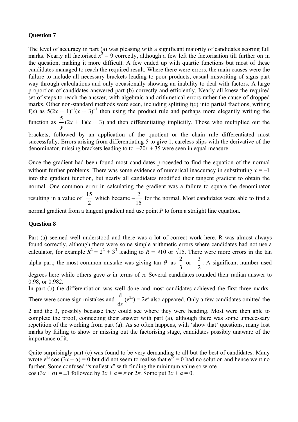#### **Question 7**

The level of accuracy in part (a) was pleasing with a significant majority of candidates scoring full marks. Nearly all factorised  $x^2 - 9$  correctly, although a few left the factorisation till further on in the question, making it more difficult. A few ended up with quartic functions but most of these candidates managed to reach the required result. Where there were errors, the main causes were the failure to include all necessary brackets leading to poor products, casual miswriting of signs part way through calculations and only occasionally showing an inability to deal with factors. A large proportion of candidates answered part (b) correctly and efficiently. Nearly all knew the required set of steps to reach the answer, with algebraic and arithmetical errors rather the cause of dropped marks. Other non-standard methods were seen, including splitting f(*x*) into partial fractions, writing  $f(x)$  as  $5(2x + 1)^{-1}(x + 3)^{-1}$  then using the product rule and perhaps more elegantly writing the function as *y*  $\frac{5}{2}(2x + 1)(x + 3)$  and then differentiating implicitly. Those who multiplied out the brackets, followed by an application of the quotient or the chain rule differentiated most

successfully. Errors arising from differentiating 5 to give 1, careless slips with the derivative of the denominator, missing brackets leading to to  $-20x + 35$  were seen in equal measure.

Once the gradient had been found most candidates proceeded to find the equation of the normal without further problems. There was some evidence of numerical inaccuracy in substituting  $x = -1$ into the gradient function, but nearly all candidates modified their tangent gradient to obtain the normal. One common error in calculating the gradient was a failure to square the denominator resulting in a value of  $\frac{15}{2}$  which became – 15  $\frac{2}{5}$  for the normal. Most candidates were able to find a

normal gradient from a tangent gradient and use point *P* to form a straight line equation.

#### **Question 8**

Part (a) seemed well understood and there was a lot of correct work here. R was almost always found correctly, although there were some simple arithmetic errors where candidates had not use a calculator, for example  $R^2 = 2^2 + 3^3$  leading to  $R = \sqrt{10}$  or  $\sqrt{15}$ . There were more errors in the tan alpha part; the most common mistake was giving tan  $\theta$  as 3  $\frac{2}{\pi}$  or  $-$ 2  $\frac{3}{5}$ . A significant number used degrees here while others gave  $\alpha$  in terms of  $\pi$ . Several candidates rounded their radian answer to

0.98, or 0.982.

In part (b) the differentiation was well done and most candidates achieved the first three marks.

There were some sign mistakes and  $\frac{d}{dx}(e^{2x}) = 2e^x$  also appeared. Only a few candidates omitted the

2 and the 3, possibly because they could see where they were heading. Most were then able to complete the proof, connecting their answer with part (a), although there was some unnecessary repetition of the working from part (a). As so often happens, with 'show that' questions, many lost marks by failing to show or missing out the factorising stage, candidates possibly unaware of the importance of it.

Quite surprisingly part (c) was found to be very demanding to all but the best of candidates. Many wrote  $e^{2x}$  cos  $(3x + \alpha) = 0$  but did not seem to realise that  $e^{2x} = 0$  had no solution and hence went no further. Some confused "smallest *x*" with finding the minimum value so wrote cos  $(3x + \alpha) = \pm 1$  followed by  $3x + \alpha = \pi$  or  $2\pi$ . Some put  $3x + \alpha = 0$ .